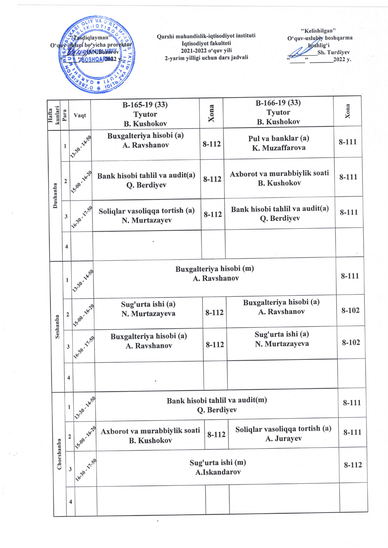

Qarshi muhandislik-iqtisodiyot instituti Iqtisodiyot fakulteti 2021-2022 o'quv Yili 2-yarim yilligi uchun dars jadvali



| kunlari<br>Hafta | Para           | Vaqt                           | $B-165-19(33)$<br><b>Tyutor</b><br><b>B. Kushokov</b> | Xona      | $B-166-19(33)$<br><b>Tyutor</b><br><b>B. Kushokov</b> | Xona      |
|------------------|----------------|--------------------------------|-------------------------------------------------------|-----------|-------------------------------------------------------|-----------|
| Dushanba         | $\mathbf{1}$   | 13-30-14-59                    | Buxgalteriya hisobi (a)<br>A. Ravshanov               | $8 - 112$ | Pul va banklar (a)<br>K. Muzaffarova                  | $8 - 111$ |
|                  | $\mathbf 2$    | 15:00 - 16:29                  | Bank hisobi tahlil va audit(a)<br>Q. Berdiyev         | $8 - 112$ | Axborot va murabbiylik soati<br><b>B. Kushokov</b>    | $8 - 111$ |
|                  | $\mathbf{3}$   | 116-30-17-59                   | Soliqlar vasoliqqa tortish (a)<br>N. Murtazayev       | $8 - 112$ | Bank hisobi tahlil va audit(a)<br>Q. Berdiyev         | 8-111     |
|                  | 4              |                                |                                                       |           |                                                       |           |
| Seshanba         | $\mathbf{1}$   | 13-30-1459                     | Buxgalteriya hisobi (m)<br>A. Ravshanov               |           |                                                       | 8-111     |
|                  | $\overline{2}$ | 15-20 - 16-20                  | Sug'urta ishi (a)<br>N. Murtazayeva                   | $8 - 112$ | Buxgalteriya hisobi (a)<br>A. Ravshanov               | 8-102     |
|                  | $\mathbf{3}$   | 116-30-17.50                   | Buxgalteriya hisobi (a)<br>A. Ravshanov               | 8-112     | Sug'urta ishi (a)<br>N. Murtazayeva                   | 8-102     |
|                  | 4              |                                |                                                       |           |                                                       |           |
| Chorshanba       | $\mathbf{1}$   | 13-38-14-59                    | Bank hisobi tahlil va audit(m)<br>Q. Berdiyev         |           |                                                       | 8-111     |
|                  |                | 1.500-16-20<br>$\overline{2}$  | Axborot va murabbiylik soati<br><b>B. Kushokov</b>    | 8-112     | Soliqlar vasoliqqa tortish (a)<br>A. Jurayev          | 8-111     |
|                  |                | 116-30-17-59<br>$\mathfrak{z}$ | Sug'urta ishi (m)<br>A.Iskandarov                     |           |                                                       | $8 - 112$ |
|                  |                | 4                              |                                                       |           |                                                       |           |

 $\overline{\phantom{a}}$